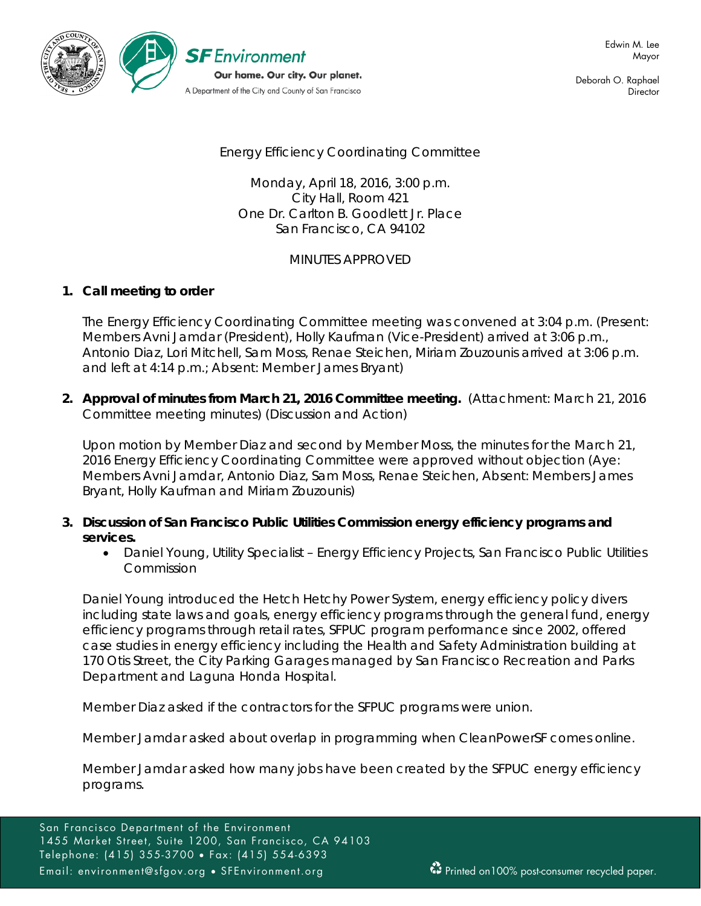

Deborah O. Raphael **Director** 

# Energy Efficiency Coordinating Committee

Monday, April 18, 2016, 3:00 p.m. City Hall, Room 421 One Dr. Carlton B. Goodlett Jr. Place San Francisco, CA 94102

## MINUTES APPROVED

### **1. Call meeting to order**

The Energy Efficiency Coordinating Committee meeting was convened at 3:04 p.m. (Present: Members Avni Jamdar (President), Holly Kaufman (Vice-President) arrived at 3:06 p.m., Antonio Diaz, Lori Mitchell, Sam Moss, Renae Steichen, Miriam Zouzounis arrived at 3:06 p.m. and left at 4:14 p.m.; Absent: Member James Bryant)

**2. Approval of minutes from March 21, 2016 Committee meeting.** (Attachment: March 21, 2016 Committee meeting minutes) (Discussion and Action)

Upon motion by Member Diaz and second by Member Moss, the minutes for the March 21, 2016 Energy Efficiency Coordinating Committee were approved without objection (Aye: Members Avni Jamdar, Antonio Diaz, Sam Moss, Renae Steichen, Absent: Members James Bryant, Holly Kaufman and Miriam Zouzounis)

- **3. Discussion of San Francisco Public Utilities Commission energy efficiency programs and services.**
	- Daniel Young, Utility Specialist Energy Efficiency Projects, San Francisco Public Utilities Commission

Daniel Young introduced the Hetch Hetchy Power System, energy efficiency policy divers including state laws and goals, energy efficiency programs through the general fund, energy efficiency programs through retail rates, SFPUC program performance since 2002, offered case studies in energy efficiency including the Health and Safety Administration building at 170 Otis Street, the City Parking Garages managed by San Francisco Recreation and Parks Department and Laguna Honda Hospital.

Member Diaz asked if the contractors for the SFPUC programs were union.

Member Jamdar asked about overlap in programming when CleanPowerSF comes online.

Member Jamdar asked how many jobs have been created by the SFPUC energy efficiency programs.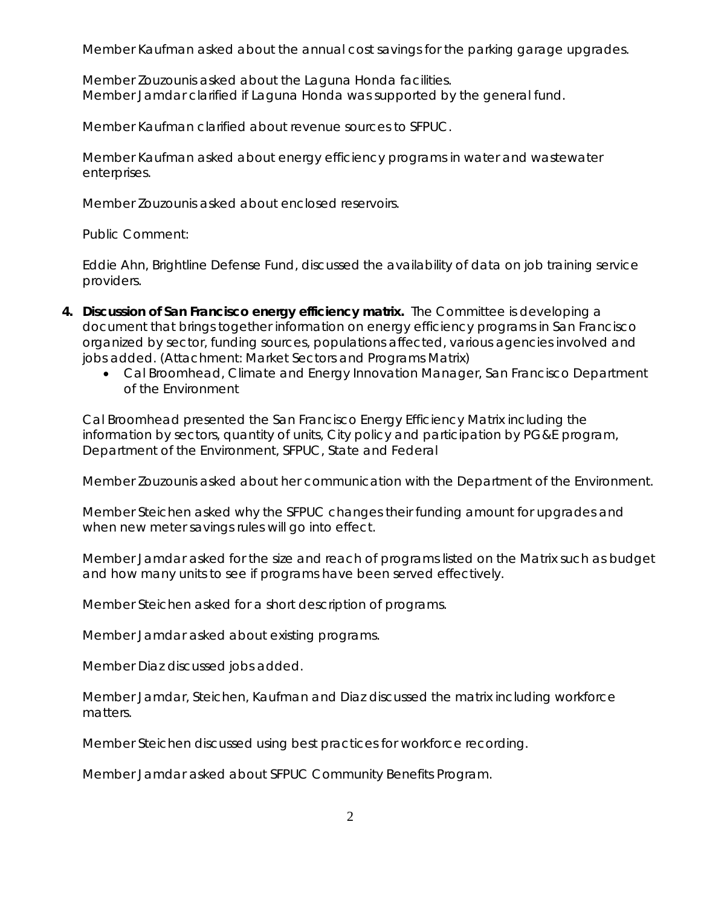Member Kaufman asked about the annual cost savings for the parking garage upgrades.

Member Zouzounis asked about the Laguna Honda facilities. Member Jamdar clarified if Laguna Honda was supported by the general fund.

Member Kaufman clarified about revenue sources to SFPUC.

Member Kaufman asked about energy efficiency programs in water and wastewater enterprises.

Member Zouzounis asked about enclosed reservoirs.

Public Comment:

Eddie Ahn, Brightline Defense Fund, discussed the availability of data on job training service providers.

- **4. Discussion of San Francisco energy efficiency matrix.** The Committee is developing a document that brings together information on energy efficiency programs in San Francisco organized by sector, funding sources, populations affected, various agencies involved and jobs added. (Attachment: Market Sectors and Programs Matrix)
	- Cal Broomhead, Climate and Energy Innovation Manager, San Francisco Department of the Environment

Cal Broomhead presented the San Francisco Energy Efficiency Matrix including the information by sectors, quantity of units, City policy and participation by PG&E program, Department of the Environment, SFPUC, State and Federal

Member Zouzounis asked about her communication with the Department of the Environment.

Member Steichen asked why the SFPUC changes their funding amount for upgrades and when new meter savings rules will go into effect.

Member Jamdar asked for the size and reach of programs listed on the Matrix such as budget and how many units to see if programs have been served effectively.

Member Steichen asked for a short description of programs.

Member Jamdar asked about existing programs.

Member Diaz discussed jobs added.

Member Jamdar, Steichen, Kaufman and Diaz discussed the matrix including workforce matters.

Member Steichen discussed using best practices for workforce recording.

Member Jamdar asked about SFPUC Community Benefits Program.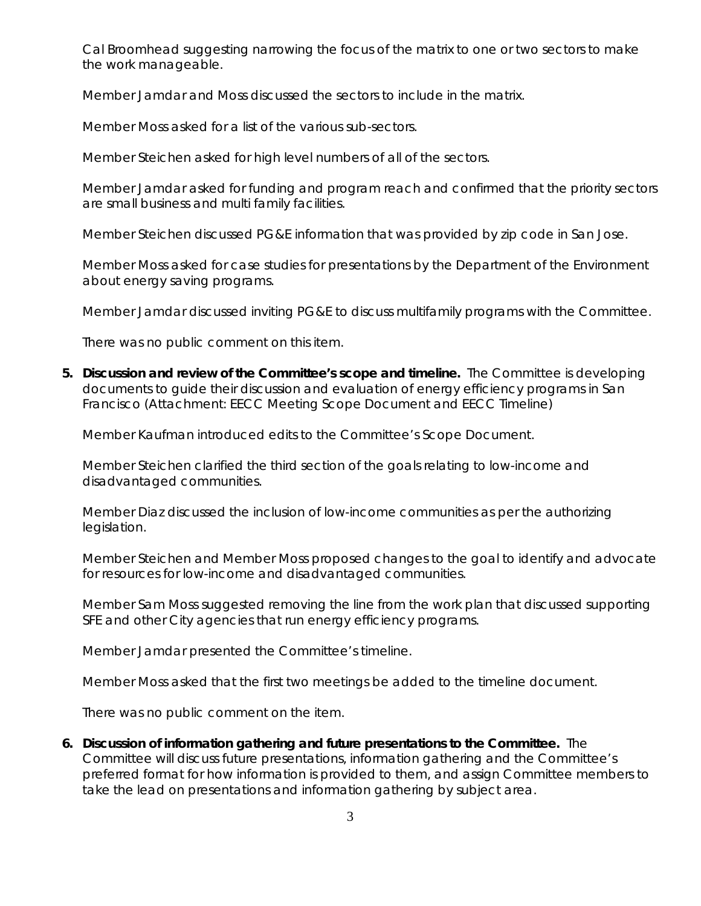Cal Broomhead suggesting narrowing the focus of the matrix to one or two sectors to make the work manageable.

Member Jamdar and Moss discussed the sectors to include in the matrix.

Member Moss asked for a list of the various sub-sectors.

Member Steichen asked for high level numbers of all of the sectors.

Member Jamdar asked for funding and program reach and confirmed that the priority sectors are small business and multi family facilities.

Member Steichen discussed PG&E information that was provided by zip code in San Jose.

Member Moss asked for case studies for presentations by the Department of the Environment about energy saving programs.

Member Jamdar discussed inviting PG&E to discuss multifamily programs with the Committee.

There was no public comment on this item.

**5. Discussion and review of the Committee's scope and timeline.** The Committee is developing documents to guide their discussion and evaluation of energy efficiency programs in San Francisco (Attachment: EECC Meeting Scope Document and EECC Timeline)

Member Kaufman introduced edits to the Committee's Scope Document.

Member Steichen clarified the third section of the goals relating to low-income and disadvantaged communities.

Member Diaz discussed the inclusion of low-income communities as per the authorizing legislation.

Member Steichen and Member Moss proposed changes to the goal to identify and advocate for resources for low-income and disadvantaged communities.

Member Sam Moss suggested removing the line from the work plan that discussed supporting SFE and other City agencies that run energy efficiency programs.

Member Jamdar presented the Committee's timeline.

Member Moss asked that the first two meetings be added to the timeline document.

There was no public comment on the item.

**6. Discussion of information gathering and future presentations to the Committee.** The Committee will discuss future presentations, information gathering and the Committee's preferred format for how information is provided to them, and assign Committee members to take the lead on presentations and information gathering by subject area.